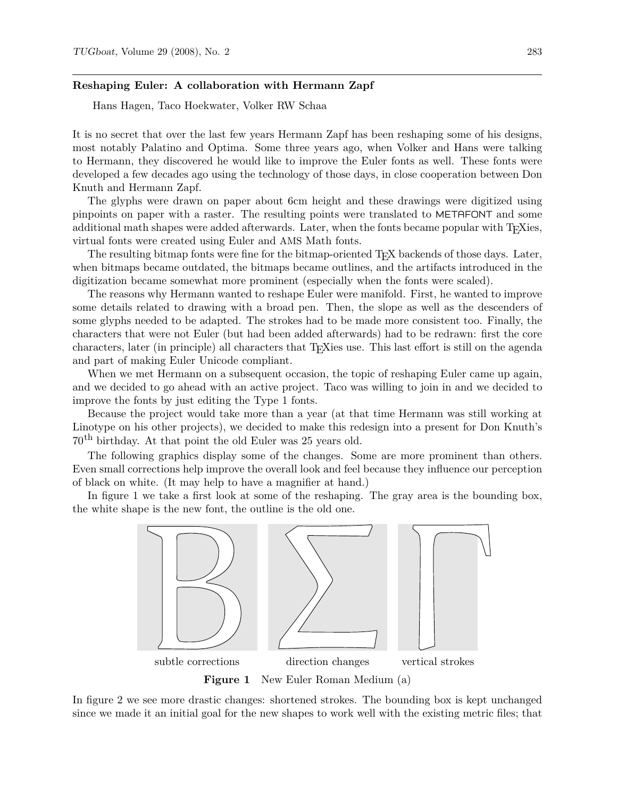## **Reshaping Euler: A collaboration with Hermann Zapf**

Hans Hagen, Taco Hoekwater, Volker RW Schaa

It is no secret that over the last few years Hermann Zapf has been reshaping some of his designs, most notably Palatino and Optima. Some three years ago, when Volker and Hans were talking to Hermann, they discovered he would like to improve the Euler fonts as well. These fonts were developed a few decades ago using the technology of those days, in close cooperation between Don Knuth and Hermann Zapf.

The glyphs were drawn on paper about 6cm height and these drawings were digitized using pinpoints on paper with a raster. The resulting points were translated to METAFONT and some additional math shapes were added afterwards. Later, when the fonts became popular with T<sub>E</sub>Xies, virtual fonts were created using Euler and AMS Math fonts.

The resulting bitmap fonts were fine for the bitmap-oriented T<sub>E</sub>X backends of those days. Later, when bitmaps became outdated, the bitmaps became outlines, and the artifacts introduced in the digitization became somewhat more prominent (especially when the fonts were scaled).

The reasons why Hermann wanted to reshape Euler were manifold. First, he wanted to improve some details related to drawing with a broad pen. Then, the slope as well as the descenders of some glyphs needed to be adapted. The strokes had to be made more consistent too. Finally, the characters that were not Euler (but had been added afterwards) had to be redrawn: first the core characters, later (in principle) all characters that TEXies use. This last effort is still on the agenda and part of making Euler Unicode compliant.

When we met Hermann on a subsequent occasion, the topic of reshaping Euler came up again, and we decided to go ahead with an active project. Taco was willing to join in and we decided to improve the fonts by just editing the Type 1 fonts.

Because the project would take more than a year (at that time Hermann was still working at Linotype on his other projects), we decided to make this redesign into a present for Don Knuth's 70th birthday. At that point the old Euler was 25 years old.

The following graphics display some of the changes. Some are more prominent than others. Even small corrections help improve the overall look and feel because they influence our perception of black on white. (It may help to have a magnifier at hand.)

In figure 1 we take a first look at some of the reshaping. The gray area is the bounding box, the white shape is the new font, the outline is the old one.



In figure 2 we see more drastic changes: shortened strokes. The bounding box is kept unchanged since we made it an initial goal for the new shapes to work well with the existing metric files; that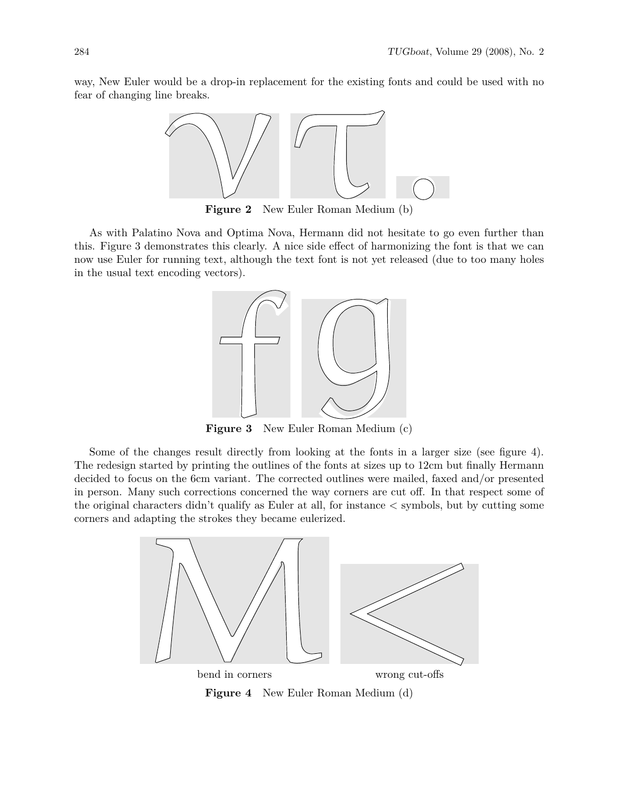way, New Euler would be a drop-in replacement for the existing fonts and could be used with no fear of changing line breaks.



**Figure 2** New Euler Roman Medium (b)

As with Palatino Nova and Optima Nova, Hermann did not hesitate to go even further than this. Figure 3 demonstrates this clearly. A nice side effect of harmonizing the font is that we can now use Euler for running text, although the text font is not yet released (due to too many holes in the usual text encoding vectors).



**Figure 3** New Euler Roman Medium (c)

Some of the changes result directly from looking at the fonts in a larger size (see figure 4). The redesign started by printing the outlines of the fonts at sizes up to 12cm but finally Hermann decided to focus on the 6cm variant. The corrected outlines were mailed, faxed and/or presented in person. Many such corrections concerned the way corners are cut off. In that respect some of the original characters didn't qualify as Euler at all, for instance < symbols, but by cutting some corners and adapting the strokes they became eulerized.



**Figure 4** New Euler Roman Medium (d)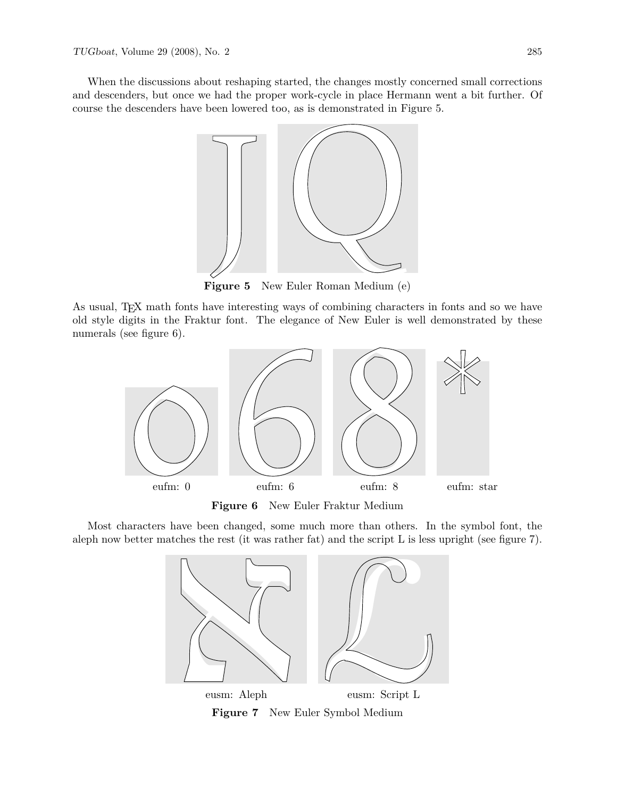When the discussions about reshaping started, the changes mostly concerned small corrections and descenders, but once we had the proper work-cycle in place Hermann went a bit further. Of course the descenders have been lowered too, as is demonstrated in Figure 5.



As usual, T<sub>E</sub>X math fonts have interesting ways of combining characters in fonts and so we have old style digits in the Fraktur font. The elegance of New Euler is well demonstrated by these numerals (see figure 6).



**Figure 6** New Euler Fraktur Medium

Most characters have been changed, some much more than others. In the symbol font, the aleph now better matches the rest (it was rather fat) and the script  $L$  is less upright (see figure 7).



**Figure 7** New Euler Symbol Medium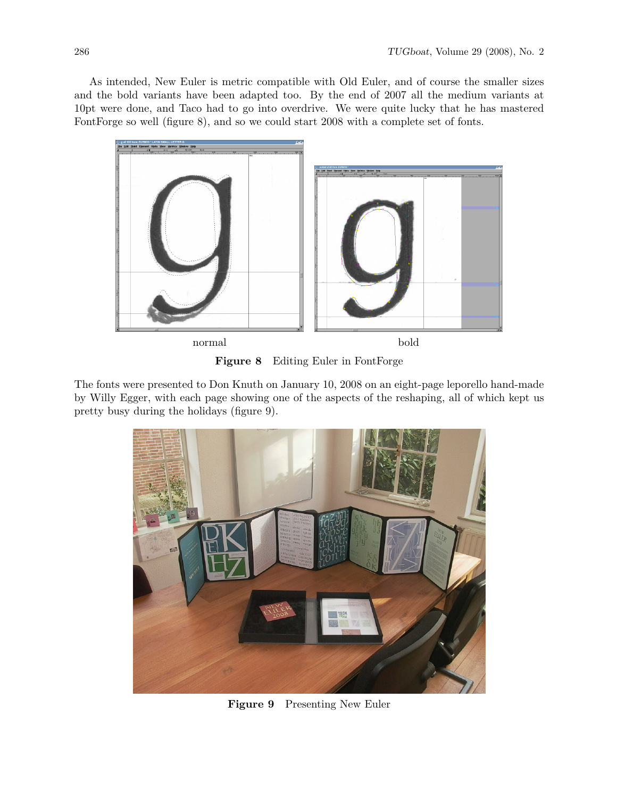As intended, New Euler is metric compatible with Old Euler, and of course the smaller sizes and the bold variants have been adapted too. By the end of 2007 all the medium variants at 10pt were done, and Taco had to go into overdrive. We were quite lucky that he has mastered FontForge so well (figure 8), and so we could start 2008 with a complete set of fonts.



**Figure 8** Editing Euler in FontForge

The fonts were presented to Don Knuth on January 10, 2008 on an eight-page leporello hand-made by Willy Egger, with each page showing one of the aspects of the reshaping, all of which kept us pretty busy during the holidays (figure 9).



**Figure 9** Presenting New Euler